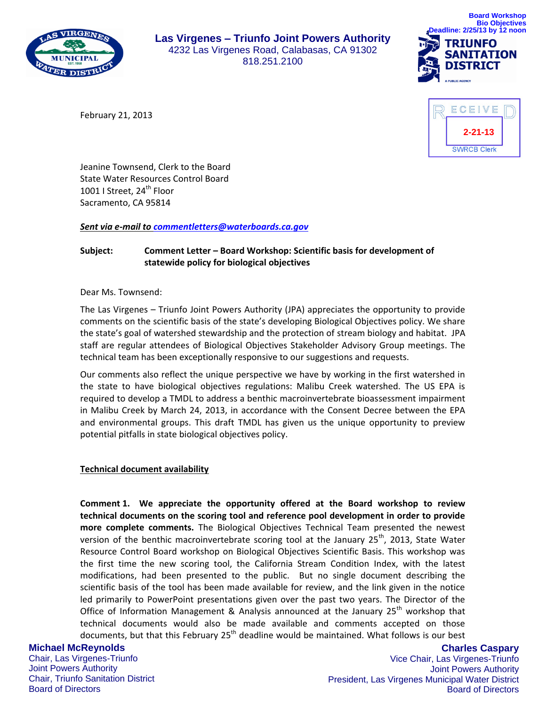

**Las Virgenes – Triunfo Joint Powers Authority** 4232 Las Virgenes Road, Calabasas, CA 91302 818.251.2100



February 21, 2013



Jeanine Townsend, Clerk to the Board State Water Resources Control Board 1001 I Street,  $24^{\text{th}}$  Floor Sacramento, CA 95814

*Sent via e-mail to [commentletters@waterboards.ca.gov](mailto:commentletters@waterboards.ca.gov)*

## **Subject: Comment Letter – Board Workshop: Scientific basis for development of statewide policy for biological objectives**

Dear Ms. Townsend:

The Las Virgenes – Triunfo Joint Powers Authority (JPA) appreciates the opportunity to provide comments on the scientific basis of the state's developing Biological Objectives policy. We share the state's goal of watershed stewardship and the protection of stream biology and habitat. JPA staff are regular attendees of Biological Objectives Stakeholder Advisory Group meetings. The technical team has been exceptionally responsive to our suggestions and requests.

Our comments also reflect the unique perspective we have by working in the first watershed in the state to have biological objectives regulations: Malibu Creek watershed. The US EPA is required to develop a TMDL to address a benthic macroinvertebrate bioassessment impairment in Malibu Creek by March 24, 2013, in accordance with the Consent Decree between the EPA and environmental groups. This draft TMDL has given us the unique opportunity to preview potential pitfalls in state biological objectives policy.

## **Technical document availability**

**Comment 1. We appreciate the opportunity offered at the Board workshop to review technical documents on the scoring tool and reference pool development in order to provide more complete comments.** The Biological Objectives Technical Team presented the newest version of the benthic macroinvertebrate scoring tool at the January  $25<sup>th</sup>$ , 2013, State Water Resource Control Board workshop on Biological Objectives Scientific Basis. This workshop was the first time the new scoring tool, the California Stream Condition Index, with the latest modifications, had been presented to the public. But no single document describing the scientific basis of the tool has been made available for review, and the link given in the notice led primarily to PowerPoint presentations given over the past two years. The Director of the Office of Information Management & Analysis announced at the January  $25<sup>th</sup>$  workshop that technical documents would also be made available and comments accepted on those documents, but that this February  $25<sup>th</sup>$  deadline would be maintained. What follows is our best

# **Michael McReynolds**

Chair, Las Virgenes-Triunfo Joint Powers Authority Chair, Triunfo Sanitation District Board of Directors

**Charles Caspary** Vice Chair, Las Virgenes-Triunfo Joint Powers Authority President, Las Virgenes Municipal Water District Board of Directors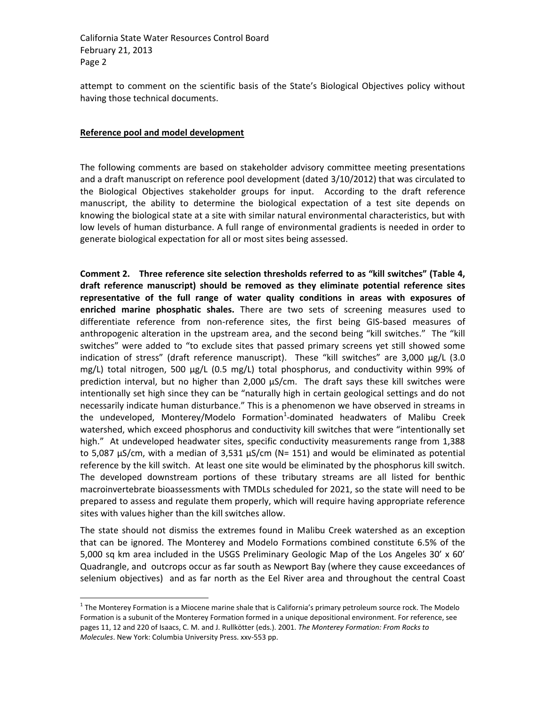attempt to comment on the scientific basis of the State's Biological Objectives policy without having those technical documents.

### **Reference pool and model development**

 $\overline{a}$ 

The following comments are based on stakeholder advisory committee meeting presentations and a draft manuscript on reference pool development (dated 3/10/2012) that was circulated to the Biological Objectives stakeholder groups for input. According to the draft reference manuscript, the ability to determine the biological expectation of a test site depends on knowing the biological state at a site with similar natural environmental characteristics, but with low levels of human disturbance. A full range of environmental gradients is needed in order to generate biological expectation for all or most sites being assessed.

**Comment 2. Three reference site selection thresholds referred to as "kill switches" (Table 4, draft reference manuscript) should be removed as they eliminate potential reference sites representative of the full range of water quality conditions in areas with exposures of enriched marine phosphatic shales.** There are two sets of screening measures used to differentiate reference from non-reference sites, the first being GIS-based measures of anthropogenic alteration in the upstream area, and the second being "kill switches." The "kill switches" were added to "to exclude sites that passed primary screens yet still showed some indication of stress" (draft reference manuscript). These "kill switches" are 3,000 µg/L (3.0 mg/L) total nitrogen, 500  $\mu$ g/L (0.5 mg/L) total phosphorus, and conductivity within 99% of prediction interval, but no higher than 2,000 µS/cm. The draft says these kill switches were intentionally set high since they can be "naturally high in certain geological settings and do not necessarily indicate human disturbance." This is a phenomenon we have observed in streams in the undeveloped, Monterey/Modelo Formation<sup>1</sup>-dominated headwaters of Malibu Creek watershed, which exceed phosphorus and conductivity kill switches that were "intentionally set high." At undeveloped headwater sites, specific conductivity measurements range from 1,388 to 5,087  $\mu$ S/cm, with a median of 3,531  $\mu$ S/cm (N= 151) and would be eliminated as potential reference by the kill switch. At least one site would be eliminated by the phosphorus kill switch. The developed downstream portions of these tributary streams are all listed for benthic macroinvertebrate bioassessments with TMDLs scheduled for 2021, so the state will need to be prepared to assess and regulate them properly, which will require having appropriate reference sites with values higher than the kill switches allow.

The state should not dismiss the extremes found in Malibu Creek watershed as an exception that can be ignored. The Monterey and Modelo Formations combined constitute 6.5% of the 5,000 sq km area included in the USGS Preliminary Geologic Map of the Los Angeles 30' x 60' Quadrangle, and outcrops occur as far south as Newport Bay (where they cause exceedances of selenium objectives) and as far north as the Eel River area and throughout the central Coast

 $1$  The Monterey Formation is a Miocene marine shale that is California's primary petroleum source rock. The Modelo Formation is a subunit of the Monterey Formation formed in a unique depositional environment. For reference, see pages 11, 12 and 220 of Isaacs, C. M. and J. Rullkötter (eds.). 2001. *The Monterey Formation: From Rocks to Molecules*. New York: Columbia University Press. xxv-553 pp.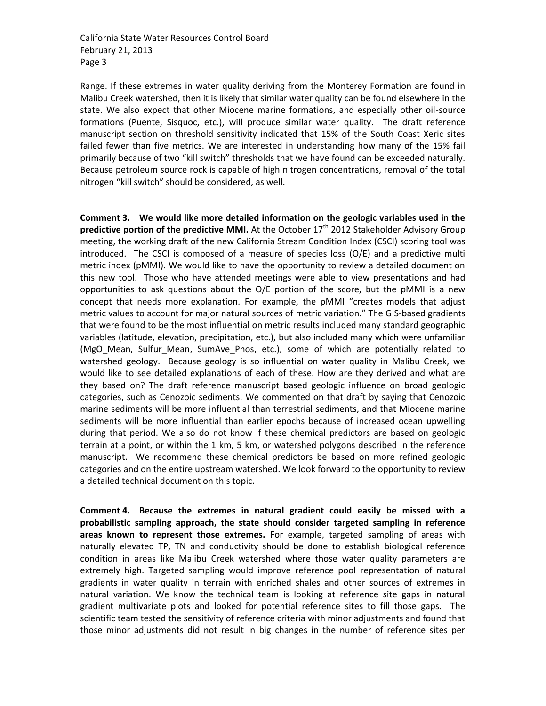Range. If these extremes in water quality deriving from the Monterey Formation are found in Malibu Creek watershed, then it is likely that similar water quality can be found elsewhere in the state. We also expect that other Miocene marine formations, and especially other oil-source formations (Puente, Sisquoc, etc.), will produce similar water quality. The draft reference manuscript section on threshold sensitivity indicated that 15% of the South Coast Xeric sites failed fewer than five metrics. We are interested in understanding how many of the 15% fail primarily because of two "kill switch" thresholds that we have found can be exceeded naturally. Because petroleum source rock is capable of high nitrogen concentrations, removal of the total nitrogen "kill switch" should be considered, as well.

**Comment 3. We would like more detailed information on the geologic variables used in the predictive portion of the predictive MMI.** At the October 17<sup>th</sup> 2012 Stakeholder Advisory Group meeting, the working draft of the new California Stream Condition Index (CSCI) scoring tool was introduced. The CSCI is composed of a measure of species loss (O/E) and a predictive multi metric index (pMMI). We would like to have the opportunity to review a detailed document on this new tool. Those who have attended meetings were able to view presentations and had opportunities to ask questions about the O/E portion of the score, but the pMMI is a new concept that needs more explanation. For example, the pMMI "creates models that adjust metric values to account for major natural sources of metric variation." The GIS-based gradients that were found to be the most influential on metric results included many standard geographic variables (latitude, elevation, precipitation, etc.), but also included many which were unfamiliar (MgO\_Mean, Sulfur\_Mean, SumAve\_Phos, etc.), some of which are potentially related to watershed geology. Because geology is so influential on water quality in Malibu Creek, we would like to see detailed explanations of each of these. How are they derived and what are they based on? The draft reference manuscript based geologic influence on broad geologic categories, such as Cenozoic sediments. We commented on that draft by saying that Cenozoic marine sediments will be more influential than terrestrial sediments, and that Miocene marine sediments will be more influential than earlier epochs because of increased ocean upwelling during that period. We also do not know if these chemical predictors are based on geologic terrain at a point, or within the 1 km, 5 km, or watershed polygons described in the reference manuscript. We recommend these chemical predictors be based on more refined geologic categories and on the entire upstream watershed. We look forward to the opportunity to review a detailed technical document on this topic.

**Comment 4. Because the extremes in natural gradient could easily be missed with a probabilistic sampling approach, the state should consider targeted sampling in reference areas known to represent those extremes.** For example, targeted sampling of areas with naturally elevated TP, TN and conductivity should be done to establish biological reference condition in areas like Malibu Creek watershed where those water quality parameters are extremely high. Targeted sampling would improve reference pool representation of natural gradients in water quality in terrain with enriched shales and other sources of extremes in natural variation. We know the technical team is looking at reference site gaps in natural gradient multivariate plots and looked for potential reference sites to fill those gaps. The scientific team tested the sensitivity of reference criteria with minor adjustments and found that those minor adjustments did not result in big changes in the number of reference sites per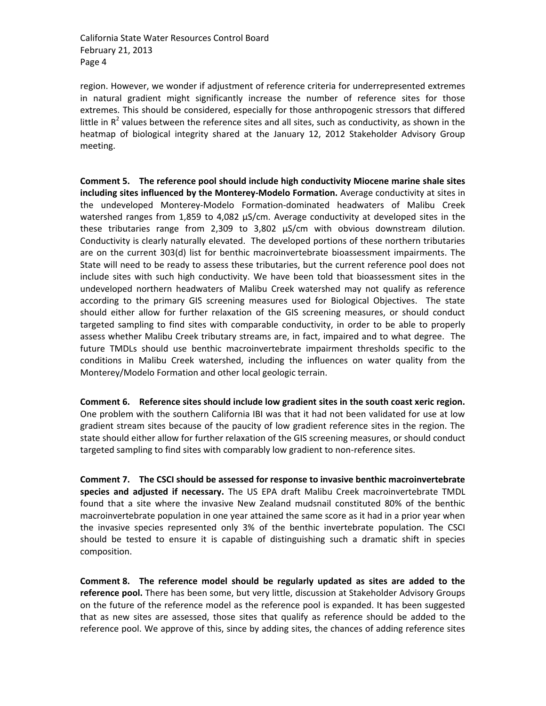region. However, we wonder if adjustment of reference criteria for underrepresented extremes in natural gradient might significantly increase the number of reference sites for those extremes. This should be considered, especially for those anthropogenic stressors that differed little in  $R^2$  values between the reference sites and all sites, such as conductivity, as shown in the heatmap of biological integrity shared at the January 12, 2012 Stakeholder Advisory Group meeting.

**Comment 5. The reference pool should include high conductivity Miocene marine shale sites including sites influenced by the Monterey-Modelo Formation.** Average conductivity at sites in the undeveloped Monterey-Modelo Formation-dominated headwaters of Malibu Creek watershed ranges from 1,859 to 4,082 µS/cm. Average conductivity at developed sites in the these tributaries range from 2,309 to 3,802  $\mu$ S/cm with obvious downstream dilution. Conductivity is clearly naturally elevated. The developed portions of these northern tributaries are on the current 303(d) list for benthic macroinvertebrate bioassessment impairments. The State will need to be ready to assess these tributaries, but the current reference pool does not include sites with such high conductivity. We have been told that bioassessment sites in the undeveloped northern headwaters of Malibu Creek watershed may not qualify as reference according to the primary GIS screening measures used for Biological Objectives. The state should either allow for further relaxation of the GIS screening measures, or should conduct targeted sampling to find sites with comparable conductivity, in order to be able to properly assess whether Malibu Creek tributary streams are, in fact, impaired and to what degree. The future TMDLs should use benthic macroinvertebrate impairment thresholds specific to the conditions in Malibu Creek watershed, including the influences on water quality from the Monterey/Modelo Formation and other local geologic terrain.

**Comment 6. Reference sites should include low gradient sites in the south coast xeric region.**  One problem with the southern California IBI was that it had not been validated for use at low gradient stream sites because of the paucity of low gradient reference sites in the region. The state should either allow for further relaxation of the GIS screening measures, or should conduct targeted sampling to find sites with comparably low gradient to non-reference sites.

**Comment 7. The CSCI should be assessed for response to invasive benthic macroinvertebrate species and adjusted if necessary.** The US EPA draft Malibu Creek macroinvertebrate TMDL found that a site where the invasive New Zealand mudsnail constituted 80% of the benthic macroinvertebrate population in one year attained the same score as it had in a prior year when the invasive species represented only 3% of the benthic invertebrate population. The CSCI should be tested to ensure it is capable of distinguishing such a dramatic shift in species composition.

**Comment 8. The reference model should be regularly updated as sites are added to the reference pool.** There has been some, but very little, discussion at Stakeholder Advisory Groups on the future of the reference model as the reference pool is expanded. It has been suggested that as new sites are assessed, those sites that qualify as reference should be added to the reference pool. We approve of this, since by adding sites, the chances of adding reference sites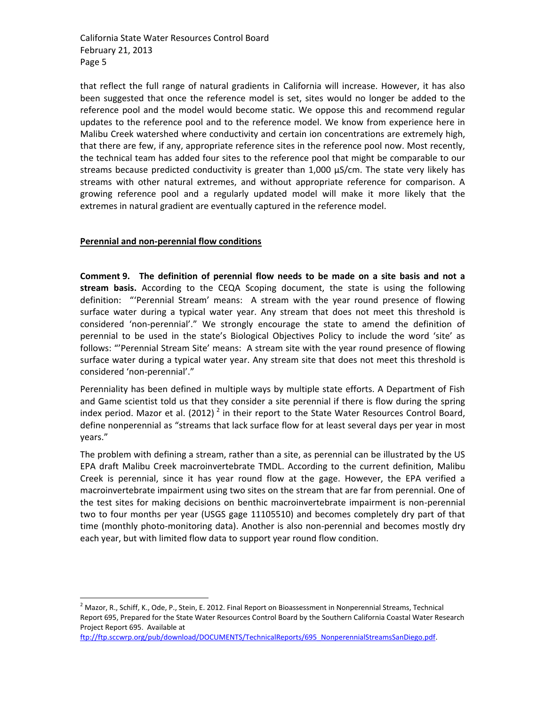that reflect the full range of natural gradients in California will increase. However, it has also been suggested that once the reference model is set, sites would no longer be added to the reference pool and the model would become static. We oppose this and recommend regular updates to the reference pool and to the reference model. We know from experience here in Malibu Creek watershed where conductivity and certain ion concentrations are extremely high, that there are few, if any, appropriate reference sites in the reference pool now. Most recently, the technical team has added four sites to the reference pool that might be comparable to our streams because predicted conductivity is greater than 1,000 µS/cm. The state very likely has streams with other natural extremes, and without appropriate reference for comparison. A growing reference pool and a regularly updated model will make it more likely that the extremes in natural gradient are eventually captured in the reference model.

## **Perennial and non-perennial flow conditions**

 $\overline{a}$ 

**Comment 9. The definition of perennial flow needs to be made on a site basis and not a stream basis.** According to the CEQA Scoping document, the state is using the following definition: "'Perennial Stream' means: A stream with the year round presence of flowing surface water during a typical water year. Any stream that does not meet this threshold is considered 'non-perennial'." We strongly encourage the state to amend the definition of perennial to be used in the state's Biological Objectives Policy to include the word 'site' as follows: "'Perennial Stream Site' means: A stream site with the year round presence of flowing surface water during a typical water year. Any stream site that does not meet this threshold is considered 'non-perennial'."

Perenniality has been defined in multiple ways by multiple state efforts. A Department of Fish and Game scientist told us that they consider a site perennial if there is flow during the spring index period. Mazor et al. (2012)<sup>2</sup> in their report to the State Water Resources Control Board, define nonperennial as "streams that lack surface flow for at least several days per year in most years."

The problem with defining a stream, rather than a site, as perennial can be illustrated by the US EPA draft Malibu Creek macroinvertebrate TMDL. According to the current definition, Malibu Creek is perennial, since it has year round flow at the gage. However, the EPA verified a macroinvertebrate impairment using two sites on the stream that are far from perennial. One of the test sites for making decisions on benthic macroinvertebrate impairment is non-perennial two to four months per year (USGS gage 11105510) and becomes completely dry part of that time (monthly photo-monitoring data). Another is also non-perennial and becomes mostly dry each year, but with limited flow data to support year round flow condition.

 $^2$  Mazor, R., Schiff, K., Ode, P., Stein, E. 2012. Final Report on Bioassessment in Nonperennial Streams, Technical Report 695, Prepared for the State Water Resources Control Board by the Southern California Coastal Water Research Project Report 695. Available at

[ftp://ftp.sccwrp.org/pub/download/DOCUMENTS/TechnicalReports/695\\_NonperennialStreamsSanDiego.pdf.](ftp://ftp.sccwrp.org/pub/download/DOCUMENTS/TechnicalReports/695_NonperennialStreamsSanDiego.pdf)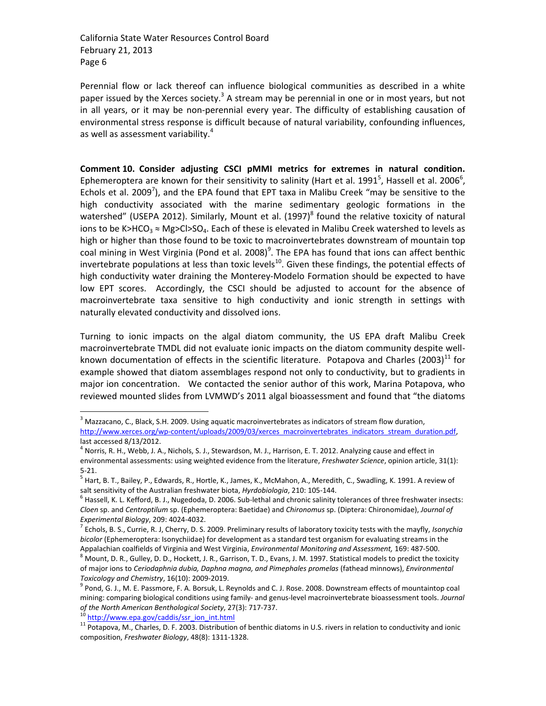Perennial flow or lack thereof can influence biological communities as described in a white paper issued by the Xerces society.<sup>3</sup> A stream may be perennial in one or in most years, but not in all years, or it may be non-perennial every year. The difficulty of establishing causation of environmental stress response is difficult because of natural variability, confounding influences, as well as assessment variability.<sup>4</sup>

**Comment 10. Consider adjusting CSCI pMMI metrics for extremes in natural condition.**  Ephemeroptera are known for their sensitivity to salinity (Hart et al. 1991<sup>5</sup>, Hassell et al. 2006<sup>6</sup>, Echols et al. 2009<sup>7</sup>), and the EPA found that EPT taxa in Malibu Creek "may be sensitive to the high conductivity associated with the marine sedimentary geologic formations in the watershed" (USEPA 2012). Similarly, Mount et al. (1997)<sup>8</sup> found the relative toxicity of natural ions to be K>HCO<sub>3</sub>  $\approx$  Mg>Cl>SO<sub>4</sub>. Each of these is elevated in Malibu Creek watershed to levels as high or higher than those found to be toxic to macroinvertebrates downstream of mountain top coal mining in West Virginia (Pond et al. 2008) $^9$ . The EPA has found that ions can affect benthic invertebrate populations at less than toxic levels<sup>10</sup>. Given these findings, the potential effects of high conductivity water draining the Monterey-Modelo Formation should be expected to have low EPT scores. Accordingly, the CSCI should be adjusted to account for the absence of macroinvertebrate taxa sensitive to high conductivity and ionic strength in settings with naturally elevated conductivity and dissolved ions.

Turning to ionic impacts on the algal diatom community, the US EPA draft Malibu Creek macroinvertebrate TMDL did not evaluate ionic impacts on the diatom community despite wellknown documentation of effects in the scientific literature. Potapova and Charles  $(2003)^{11}$  for example showed that diatom assemblages respond not only to conductivity, but to gradients in major ion concentration. We contacted the senior author of this work, Marina Potapova, who reviewed mounted slides from LVMWD's 2011 algal bioassessment and found that "the diatoms

<sup>10</sup> [http://www.epa.gov/caddis/ssr\\_ion\\_int.html](http://www.epa.gov/caddis/ssr_ion_int.html)

 $\overline{a}$ 

 $3$  Mazzacano, C., Black, S.H. 2009. Using aquatic macroinvertebrates as indicators of stream flow duration, http://www.xerces.org/wp-content/uploads/2009/03/xerces\_macroinvertebrates\_indicators\_stream\_duration.pdf, last accessed 8/13/2012.

<sup>&</sup>lt;sup>4</sup> Norris, R. H., Webb, J. A., Nichols, S. J., Stewardson, M. J., Harrison, E. T. 2012. Analyzing cause and effect in environmental assessments: using weighted evidence from the literature, *Freshwater Science*, opinion article, 31(1): 5-21.

<sup>&</sup>lt;sup>5</sup> Hart, B. T., Bailey, P., Edwards, R., Hortle, K., James, K., McMahon, A., Meredith, C., Swadling, K. 1991. A review of salt sensitivity of the Australian freshwater biota, *Hyrdobiologia*, 210: 105-144.

 $^6$  Hassell, K. L. Kefford, B. J., Nugedoda, D. 2006. Sub-lethal and chronic salinity tolerances of three freshwater insects: *Cloen* sp. and *Centroptilum* sp. (Ephemeroptera: Baetidae) and *Chironomus* sp. (Diptera: Chironomidae), *Journal of Experimental Biology*, 209: 4024-4032.

<sup>7</sup> Echols, B. S., Currie, R. J, Cherry, D. S. 2009. Preliminary results of laboratory toxicity tests with the mayfly, *Isonychia bicolor* (Ephemeroptera: Isonychiidae) for development as a standard test organism for evaluating streams in the Appalachian coalfields of Virginia and West Virginia, *Environmental Monitoring and Assessment,* 169: 487-500.

<sup>8</sup> Mount, D. R., Gulley, D. D., Hockett, J. R., Garrison, T. D., Evans, J. M. 1997. Statistical models to predict the toxicity of major ions to *Ceriodaphnia dubia, Daphna magna, and Pimephales promelas* (fathead minnows), *Environmental Toxicology and Chemistry*, 16(10): 2009-2019.

<sup>&</sup>lt;sup>9</sup> Pond, G. J., M. E. Passmore, F. A. Borsuk, L. Reynolds and C. J. Rose. 2008. Downstream effects of mountaintop coal mining: comparing biological conditions using family- and genus-level macroinvertebrate bioassessment tools. *Journal of the North American Benthological Society*, 27(3): 717-737.

<sup>&</sup>lt;sup>11</sup> Potapova, M., Charles, D. F. 2003. Distribution of benthic diatoms in U.S. rivers in relation to conductivity and ionic composition, *Freshwater Biology*, 48(8): 1311-1328.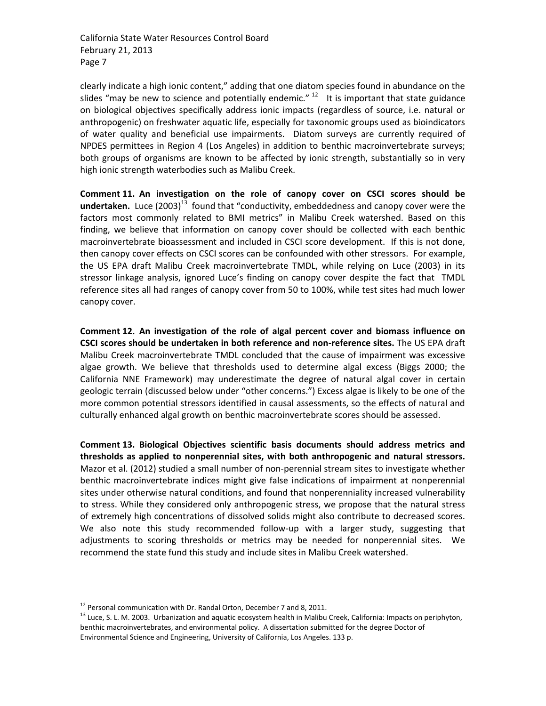clearly indicate a high ionic content," adding that one diatom species found in abundance on the slides "may be new to science and potentially endemic."  $12$  It is important that state guidance on biological objectives specifically address ionic impacts (regardless of source, i.e. natural or anthropogenic) on freshwater aquatic life, especially for taxonomic groups used as bioindicators of water quality and beneficial use impairments. Diatom surveys are currently required of NPDES permittees in Region 4 (Los Angeles) in addition to benthic macroinvertebrate surveys; both groups of organisms are known to be affected by ionic strength, substantially so in very high ionic strength waterbodies such as Malibu Creek.

**Comment 11. An investigation on the role of canopy cover on CSCI scores should be**  undertaken. Luce (2003)<sup>13</sup> found that "conductivity, embeddedness and canopy cover were the factors most commonly related to BMI metrics" in Malibu Creek watershed. Based on this finding, we believe that information on canopy cover should be collected with each benthic macroinvertebrate bioassessment and included in CSCI score development. If this is not done, then canopy cover effects on CSCI scores can be confounded with other stressors. For example, the US EPA draft Malibu Creek macroinvertebrate TMDL, while relying on Luce (2003) in its stressor linkage analysis, ignored Luce's finding on canopy cover despite the fact that TMDL reference sites all had ranges of canopy cover from 50 to 100%, while test sites had much lower canopy cover.

**Comment 12. An investigation of the role of algal percent cover and biomass influence on CSCI scores should be undertaken in both reference and non-reference sites.** The US EPA draft Malibu Creek macroinvertebrate TMDL concluded that the cause of impairment was excessive algae growth. We believe that thresholds used to determine algal excess (Biggs 2000; the California NNE Framework) may underestimate the degree of natural algal cover in certain geologic terrain (discussed below under "other concerns.") Excess algae is likely to be one of the more common potential stressors identified in causal assessments, so the effects of natural and culturally enhanced algal growth on benthic macroinvertebrate scores should be assessed.

**Comment 13. Biological Objectives scientific basis documents should address metrics and thresholds as applied to nonperennial sites, with both anthropogenic and natural stressors.**  Mazor et al. (2012) studied a small number of non-perennial stream sites to investigate whether benthic macroinvertebrate indices might give false indications of impairment at nonperennial sites under otherwise natural conditions, and found that nonperenniality increased vulnerability to stress. While they considered only anthropogenic stress, we propose that the natural stress of extremely high concentrations of dissolved solids might also contribute to decreased scores. We also note this study recommended follow-up with a larger study, suggesting that adjustments to scoring thresholds or metrics may be needed for nonperennial sites. We recommend the state fund this study and include sites in Malibu Creek watershed.

 $\overline{a}$ 

<sup>&</sup>lt;sup>12</sup> Personal communication with Dr. Randal Orton, December 7 and 8, 2011.

<sup>&</sup>lt;sup>13</sup> Luce, S. L. M. 2003. Urbanization and aquatic ecosystem health in Malibu Creek, California: Impacts on periphyton, benthic macroinvertebrates, and environmental policy. A dissertation submitted for the degree Doctor of Environmental Science and Engineering, University of California, Los Angeles. 133 p.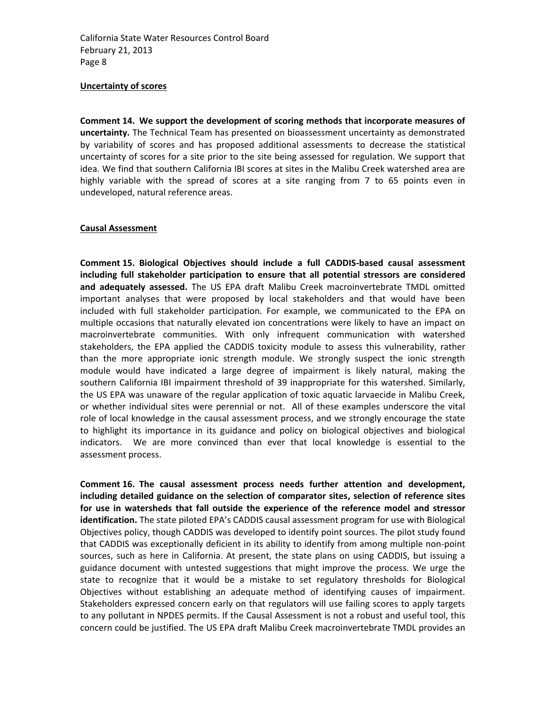#### **Uncertainty of scores**

**Comment 14. We support the development of scoring methods that incorporate measures of uncertainty.** The Technical Team has presented on bioassessment uncertainty as demonstrated by variability of scores and has proposed additional assessments to decrease the statistical uncertainty of scores for a site prior to the site being assessed for regulation. We support that idea. We find that southern California IBI scores at sites in the Malibu Creek watershed area are highly variable with the spread of scores at a site ranging from 7 to 65 points even in undeveloped, natural reference areas.

### **Causal Assessment**

**Comment 15. Biological Objectives should include a full CADDIS-based causal assessment including full stakeholder participation to ensure that all potential stressors are considered and adequately assessed.** The US EPA draft Malibu Creek macroinvertebrate TMDL omitted important analyses that were proposed by local stakeholders and that would have been included with full stakeholder participation. For example, we communicated to the EPA on multiple occasions that naturally elevated ion concentrations were likely to have an impact on macroinvertebrate communities. With only infrequent communication with watershed stakeholders, the EPA applied the CADDIS toxicity module to assess this vulnerability, rather than the more appropriate ionic strength module. We strongly suspect the ionic strength module would have indicated a large degree of impairment is likely natural, making the southern California IBI impairment threshold of 39 inappropriate for this watershed. Similarly, the US EPA was unaware of the regular application of toxic aquatic larvaecide in Malibu Creek, or whether individual sites were perennial or not. All of these examples underscore the vital role of local knowledge in the causal assessment process, and we strongly encourage the state to highlight its importance in its guidance and policy on biological objectives and biological indicators. We are more convinced than ever that local knowledge is essential to the assessment process.

**Comment 16. The causal assessment process needs further attention and development, including detailed guidance on the selection of comparator sites, selection of reference sites for use in watersheds that fall outside the experience of the reference model and stressor identification.** The state piloted EPA's CADDIS causal assessment program for use with Biological Objectives policy, though CADDIS was developed to identify point sources. The pilot study found that CADDIS was exceptionally deficient in its ability to identify from among multiple non-point sources, such as here in California. At present, the state plans on using CADDIS, but issuing a guidance document with untested suggestions that might improve the process. We urge the state to recognize that it would be a mistake to set regulatory thresholds for Biological Objectives without establishing an adequate method of identifying causes of impairment. Stakeholders expressed concern early on that regulators will use failing scores to apply targets to any pollutant in NPDES permits. If the Causal Assessment is not a robust and useful tool, this concern could be justified. The US EPA draft Malibu Creek macroinvertebrate TMDL provides an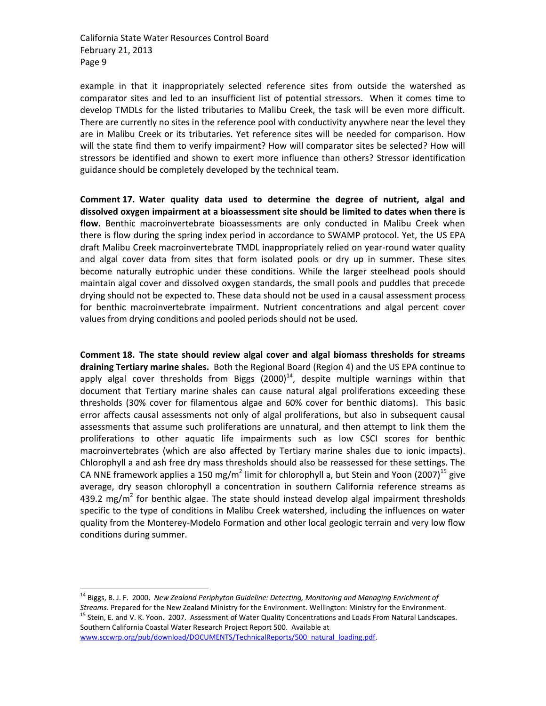example in that it inappropriately selected reference sites from outside the watershed as comparator sites and led to an insufficient list of potential stressors. When it comes time to develop TMDLs for the listed tributaries to Malibu Creek, the task will be even more difficult. There are currently no sites in the reference pool with conductivity anywhere near the level they are in Malibu Creek or its tributaries. Yet reference sites will be needed for comparison. How will the state find them to verify impairment? How will comparator sites be selected? How will stressors be identified and shown to exert more influence than others? Stressor identification guidance should be completely developed by the technical team.

**Comment 17. Water quality data used to determine the degree of nutrient, algal and dissolved oxygen impairment at a bioassessment site should be limited to dates when there is flow.** Benthic macroinvertebrate bioassessments are only conducted in Malibu Creek when there is flow during the spring index period in accordance to SWAMP protocol. Yet, the US EPA draft Malibu Creek macroinvertebrate TMDL inappropriately relied on year-round water quality and algal cover data from sites that form isolated pools or dry up in summer. These sites become naturally eutrophic under these conditions. While the larger steelhead pools should maintain algal cover and dissolved oxygen standards, the small pools and puddles that precede drying should not be expected to. These data should not be used in a causal assessment process for benthic macroinvertebrate impairment. Nutrient concentrations and algal percent cover values from drying conditions and pooled periods should not be used.

**Comment 18. The state should review algal cover and algal biomass thresholds for streams draining Tertiary marine shales.** Both the Regional Board (Region 4) and the US EPA continue to apply algal cover thresholds from Biggs  $(2000)^{14}$ , despite multiple warnings within that document that Tertiary marine shales can cause natural algal proliferations exceeding these thresholds (30% cover for filamentous algae and 60% cover for benthic diatoms). This basic error affects causal assessments not only of algal proliferations, but also in subsequent causal assessments that assume such proliferations are unnatural, and then attempt to link them the proliferations to other aquatic life impairments such as low CSCI scores for benthic macroinvertebrates (which are also affected by Tertiary marine shales due to ionic impacts). Chlorophyll a and ash free dry mass thresholds should also be reassessed for these settings. The CA NNE framework applies a 150 mg/m<sup>2</sup> limit for chlorophyll a, but Stein and Yoon (2007)<sup>15</sup> give average, dry season chlorophyll a concentration in southern California reference streams as 439.2 mg/m<sup>2</sup> for benthic algae. The state should instead develop algal impairment thresholds specific to the type of conditions in Malibu Creek watershed, including the influences on water quality from the Monterey-Modelo Formation and other local geologic terrain and very low flow conditions during summer.

Southern California Coastal Water Research Project Report 500. Available at

[www.sccwrp.org/pub/download/DOCUMENTS/TechnicalReports/500\\_natural\\_loading.pdf.](http://www.sccwrp.org/pub/download/DOCUMENTS/TechnicalReports/500_natural_loading.pdf)

 $\overline{a}$ <sup>14</sup> Biggs, B. J. F. 2000. *New Zealand Periphyton Guideline: Detecting, Monitoring and Managing Enrichment of Streams*. Prepared for the New Zealand Ministry for the Environment. Wellington: Ministry for the Environment. <sup>15</sup> Stein, E. and V. K. Yoon. 2007. Assessment of Water Quality Concentrations and Loads From Natural Landscapes.